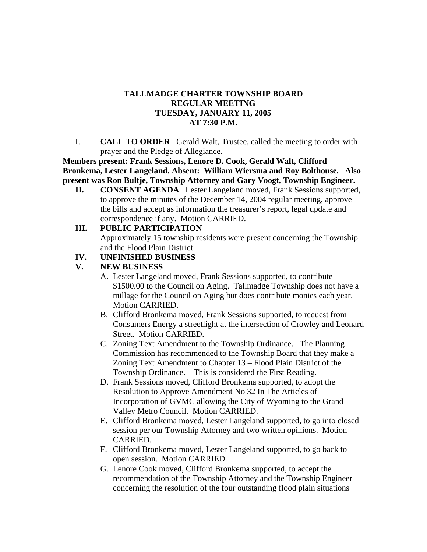#### **TALLMADGE CHARTER TOWNSHIP BOARD REGULAR MEETING TUESDAY, JANUARY 11, 2005 AT 7:30 P.M.**

I. **CALL TO ORDER** Gerald Walt, Trustee, called the meeting to order with prayer and the Pledge of Allegiance.

**Members present: Frank Sessions, Lenore D. Cook, Gerald Walt, Clifford Bronkema, Lester Langeland. Absent: William Wiersma and Roy Bolthouse. Also present was Ron Bultje, Township Attorney and Gary Voogt, Township Engineer.**

**II. CONSENT AGENDA** Lester Langeland moved, Frank Sessions supported, to approve the minutes of the December 14, 2004 regular meeting, approve the bills and accept as information the treasurer's report, legal update and correspondence if any. Motion CARRIED.

### **III. PUBLIC PARTICIPATION**

Approximately 15 township residents were present concerning the Township and the Flood Plain District.

## **IV. UNFINISHED BUSINESS**

## **V. NEW BUSINESS**

- A. Lester Langeland moved, Frank Sessions supported, to contribute \$1500.00 to the Council on Aging. Tallmadge Township does not have a millage for the Council on Aging but does contribute monies each year. Motion CARRIED.
- B. Clifford Bronkema moved, Frank Sessions supported, to request from Consumers Energy a streetlight at the intersection of Crowley and Leonard Street. Motion CARRIED.
- C. Zoning Text Amendment to the Township Ordinance. The Planning Commission has recommended to the Township Board that they make a Zoning Text Amendment to Chapter 13 – Flood Plain District of the Township Ordinance. This is considered the First Reading.
- D. Frank Sessions moved, Clifford Bronkema supported, to adopt the Resolution to Approve Amendment No 32 In The Articles of Incorporation of GVMC allowing the City of Wyoming to the Grand Valley Metro Council. Motion CARRIED.
- E. Clifford Bronkema moved, Lester Langeland supported, to go into closed session per our Township Attorney and two written opinions. Motion CARRIED.
- F. Clifford Bronkema moved, Lester Langeland supported, to go back to open session. Motion CARRIED.
- G. Lenore Cook moved, Clifford Bronkema supported, to accept the recommendation of the Township Attorney and the Township Engineer concerning the resolution of the four outstanding flood plain situations